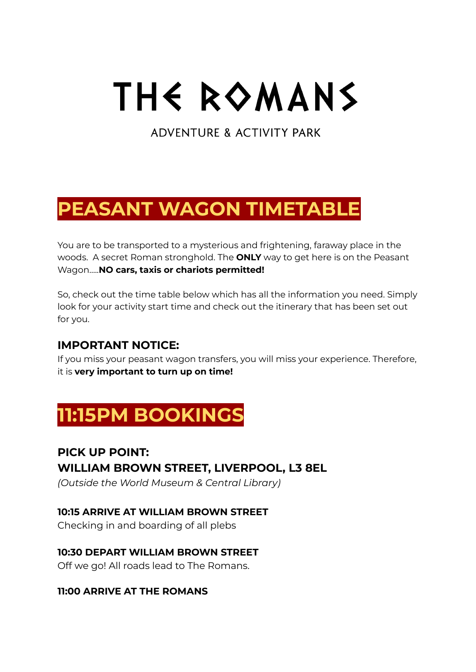# THE ROMANS

**ADVENTURE & ACTIVITY PARK** 

# **PEASANT WAGON TIMETABLE**

You are to be transported to a mysterious and frightening, faraway place in the woods. A secret Roman stronghold. The **ONLY** way to get here is on the Peasant Wagon…..**NO cars, taxis or chariots permitted!**

So, check out the time table below which has all the information you need. Simply look for your activity start time and check out the itinerary that has been set out for you.

### **IMPORTANT NOTICE:**

If you miss your peasant wagon transfers, you will miss your experience. Therefore, it is **very important to turn up on time!**

# **11:15PM BOOKINGS**

# **PICK UP POINT: WILLIAM BROWN STREET, LIVERPOOL, L3 8EL**

*(Outside the World Museum & Central Library)*

#### **10:15 ARRIVE AT WILLIAM BROWN STREET**

Checking in and boarding of all plebs

#### **10:30 DEPART WILLIAM BROWN STREET**

Off we go! All roads lead to The Romans.

#### **11:00 ARRIVE AT THE ROMANS**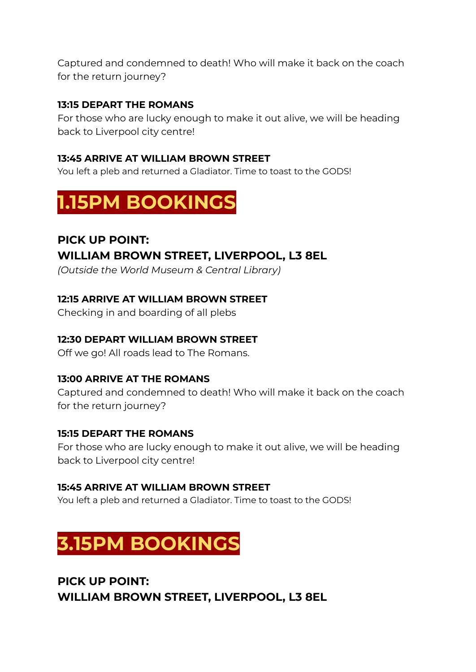Captured and condemned to death! Who will make it back on the coach for the return journey?

#### **13:15 DEPART THE ROMANS**

For those who are lucky enough to make it out alive, we will be heading back to Liverpool city centre!

#### **13:45 ARRIVE AT WILLIAM BROWN STREET**

You left a pleb and returned a Gladiator. Time to toast to the GODS!

# **1.15PM BOOKINGS**

### **PICK UP POINT: WILLIAM BROWN STREET, LIVERPOOL, L3 8EL**

*(Outside the World Museum & Central Library)*

#### **12:15 ARRIVE AT WILLIAM BROWN STREET**

Checking in and boarding of all plebs

#### **12:30 DEPART WILLIAM BROWN STREET**

Off we go! All roads lead to The Romans.

#### **13:00 ARRIVE AT THE ROMANS**

Captured and condemned to death! Who will make it back on the coach for the return journey?

#### **15:15 DEPART THE ROMANS**

For those who are lucky enough to make it out alive, we will be heading back to Liverpool city centre!

#### **15:45 ARRIVE AT WILLIAM BROWN STREET**

You left a pleb and returned a Gladiator. Time to toast to the GODS!

# **3.15PM BOOKINGS**

**PICK UP POINT: WILLIAM BROWN STREET, LIVERPOOL, L3 8EL**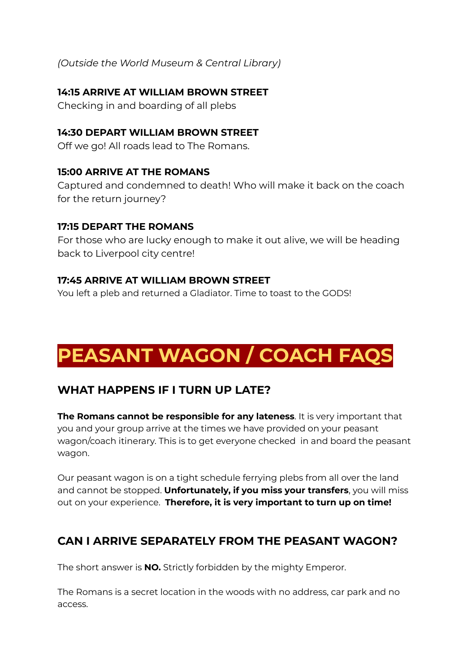*(Outside the World Museum & Central Library)*

#### **14:15 ARRIVE AT WILLIAM BROWN STREET**

Checking in and boarding of all plebs

#### **14:30 DEPART WILLIAM BROWN STREET**

Off we go! All roads lead to The Romans.

#### **15:00 ARRIVE AT THE ROMANS**

Captured and condemned to death! Who will make it back on the coach for the return journey?

#### **17:15 DEPART THE ROMANS**

For those who are lucky enough to make it out alive, we will be heading back to Liverpool city centre!

#### **17:45 ARRIVE AT WILLIAM BROWN STREET**

You left a pleb and returned a Gladiator. Time to toast to the GODS!

# **PEASANT WAGON / COACH FAQS**

### **WHAT HAPPENS IF I TURN UP LATE?**

**The Romans cannot be responsible for any lateness**. It is very important that you and your group arrive at the times we have provided on your peasant wagon/coach itinerary. This is to get everyone checked in and board the peasant wagon.

Our peasant wagon is on a tight schedule ferrying plebs from all over the land and cannot be stopped. **Unfortunately, if you miss your transfers**, you will miss out on your experience. **Therefore, it is very important to turn up on time!**

### **CAN I ARRIVE SEPARATELY FROM THE PEASANT WAGON?**

The short answer is **NO.** Strictly forbidden by the mighty Emperor.

The Romans is a secret location in the woods with no address, car park and no access.